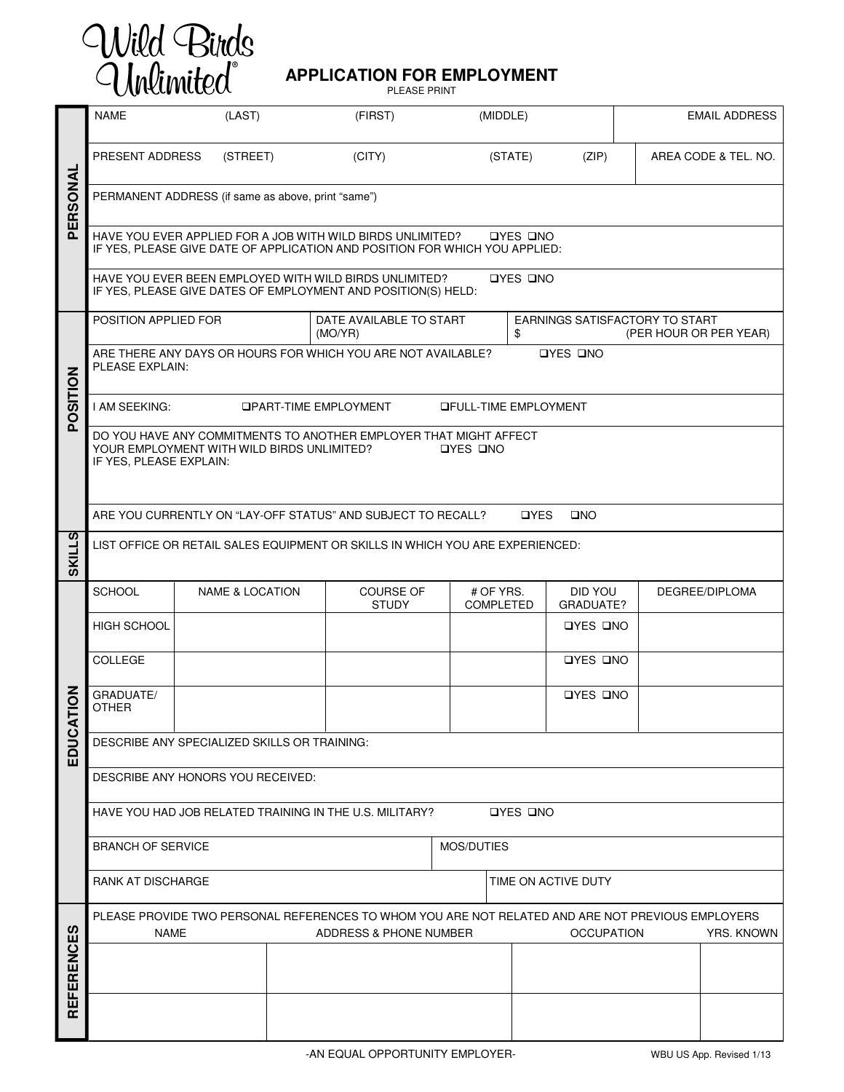

## **APPLICATION FOR EMPLOYMENT**

PLEASE PRINT

| PERSONAL          | <b>NAME</b>                                                                                                                                                                          | (LAST)                     |  | (FIRST)                            | (MIDDLE)                                                       |         |                      |                | <b>EMAIL ADDRESS</b> |  |  |  |  |
|-------------------|--------------------------------------------------------------------------------------------------------------------------------------------------------------------------------------|----------------------------|--|------------------------------------|----------------------------------------------------------------|---------|----------------------|----------------|----------------------|--|--|--|--|
|                   | PRESENT ADDRESS                                                                                                                                                                      | (STREET)                   |  | (CITY)                             |                                                                | (STATE) | (ZIP)                |                | AREA CODE & TEL. NO. |  |  |  |  |
|                   | PERMANENT ADDRESS (if same as above, print "same")                                                                                                                                   |                            |  |                                    |                                                                |         |                      |                |                      |  |  |  |  |
|                   | HAVE YOU EVER APPLIED FOR A JOB WITH WILD BIRDS UNLIMITED?<br><b>OYES ONO</b><br>IF YES, PLEASE GIVE DATE OF APPLICATION AND POSITION FOR WHICH YOU APPLIED:                         |                            |  |                                    |                                                                |         |                      |                |                      |  |  |  |  |
|                   | HAVE YOU EVER BEEN EMPLOYED WITH WILD BIRDS UNLIMITED?<br><b>OYES ONO</b><br>IF YES, PLEASE GIVE DATES OF EMPLOYMENT AND POSITION(S) HELD:                                           |                            |  |                                    |                                                                |         |                      |                |                      |  |  |  |  |
| POSITION          | POSITION APPLIED FOR                                                                                                                                                                 |                            |  | DATE AVAILABLE TO START<br>(MO/YR) | EARNINGS SATISFACTORY TO START<br>(PER HOUR OR PER YEAR)<br>\$ |         |                      |                |                      |  |  |  |  |
|                   | ARE THERE ANY DAYS OR HOURS FOR WHICH YOU ARE NOT AVAILABLE?<br><b>OYES ONO</b><br>PLEASE EXPLAIN:                                                                                   |                            |  |                                    |                                                                |         |                      |                |                      |  |  |  |  |
|                   | I AM SEEKING:<br><b>OPART-TIME EMPLOYMENT</b><br><b>QFULL-TIME EMPLOYMENT</b>                                                                                                        |                            |  |                                    |                                                                |         |                      |                |                      |  |  |  |  |
|                   | DO YOU HAVE ANY COMMITMENTS TO ANOTHER EMPLOYER THAT MIGHT AFFECT<br>YOUR EMPLOYMENT WITH WILD BIRDS UNLIMITED?<br>OYES ONO<br>IF YES, PLEASE EXPLAIN:                               |                            |  |                                    |                                                                |         |                      |                |                      |  |  |  |  |
|                   | ARE YOU CURRENTLY ON "LAY-OFF STATUS" AND SUBJECT TO RECALL?<br><b>OYES</b><br>$\square$ NO                                                                                          |                            |  |                                    |                                                                |         |                      |                |                      |  |  |  |  |
| <b>SKILLS</b>     | LIST OFFICE OR RETAIL SALES EQUIPMENT OR SKILLS IN WHICH YOU ARE EXPERIENCED:                                                                                                        |                            |  |                                    |                                                                |         |                      |                |                      |  |  |  |  |
| TION              | <b>SCHOOL</b>                                                                                                                                                                        | <b>NAME &amp; LOCATION</b> |  | <b>COURSE OF</b><br><b>STUDY</b>   | # OF YRS.<br><b>COMPLETED</b>                                  |         | DID YOU<br>GRADUATE? | DEGREE/DIPLOMA |                      |  |  |  |  |
|                   | <b>HIGH SCHOOL</b>                                                                                                                                                                   |                            |  |                                    |                                                                |         | <b>OYES ONO</b>      |                |                      |  |  |  |  |
|                   | <b>COLLEGE</b>                                                                                                                                                                       |                            |  |                                    |                                                                |         | OYES ONO             |                |                      |  |  |  |  |
|                   | GRADUATE/<br><b>OTHER</b>                                                                                                                                                            |                            |  |                                    |                                                                |         | <b>OYES ONO</b>      |                |                      |  |  |  |  |
| EDUCA             | DESCRIBE ANY SPECIALIZED SKILLS OR TRAINING:                                                                                                                                         |                            |  |                                    |                                                                |         |                      |                |                      |  |  |  |  |
|                   | DESCRIBE ANY HONORS YOU RECEIVED:                                                                                                                                                    |                            |  |                                    |                                                                |         |                      |                |                      |  |  |  |  |
|                   | HAVE YOU HAD JOB RELATED TRAINING IN THE U.S. MILITARY?<br><b>OYES ONO</b>                                                                                                           |                            |  |                                    |                                                                |         |                      |                |                      |  |  |  |  |
|                   | <b>BRANCH OF SERVICE</b>                                                                                                                                                             | MOS/DUTIES                 |  |                                    |                                                                |         |                      |                |                      |  |  |  |  |
|                   | RANK AT DISCHARGE<br>TIME ON ACTIVE DUTY                                                                                                                                             |                            |  |                                    |                                                                |         |                      |                |                      |  |  |  |  |
| <b>REFERENCES</b> | PLEASE PROVIDE TWO PERSONAL REFERENCES TO WHOM YOU ARE NOT RELATED AND ARE NOT PREVIOUS EMPLOYERS<br><b>NAME</b><br><b>OCCUPATION</b><br><b>YRS. KNOWN</b><br>ADDRESS & PHONE NUMBER |                            |  |                                    |                                                                |         |                      |                |                      |  |  |  |  |
|                   |                                                                                                                                                                                      |                            |  |                                    |                                                                |         |                      |                |                      |  |  |  |  |
|                   |                                                                                                                                                                                      |                            |  |                                    |                                                                |         |                      |                |                      |  |  |  |  |
|                   |                                                                                                                                                                                      |                            |  |                                    |                                                                |         |                      |                |                      |  |  |  |  |